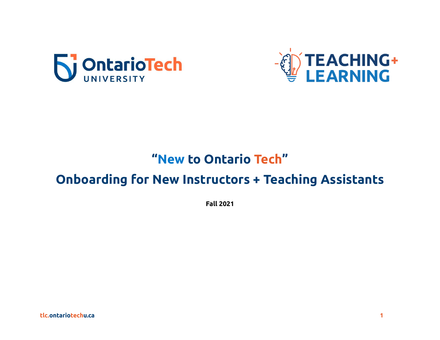



# "New to Ontario Tech"

# **Onboarding for New Instructors + Teaching Assistants**

**Fall 2021**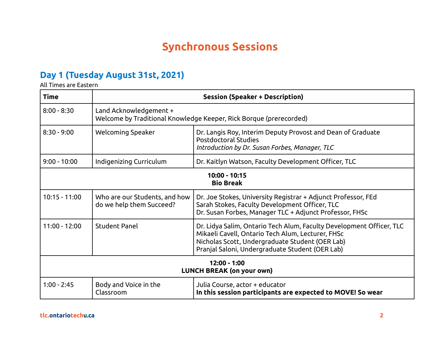### **Synchronous Sessions**

#### **Day 1 (Tuesday August 31st, 2021)**

All Times are Eastern

| Time                                               | <b>Session (Speaker + Description)</b>                                                       |                                                                                                                                                                                                                                 |  |  |
|----------------------------------------------------|----------------------------------------------------------------------------------------------|---------------------------------------------------------------------------------------------------------------------------------------------------------------------------------------------------------------------------------|--|--|
| $8:00 - 8:30$                                      | Land Acknowledgement +<br>Welcome by Traditional Knowledge Keeper, Rick Borque (prerecorded) |                                                                                                                                                                                                                                 |  |  |
| $8:30 - 9:00$                                      | Welcoming Speaker                                                                            | Dr. Langis Roy, Interim Deputy Provost and Dean of Graduate<br><b>Postdoctoral Studies</b><br>Introduction by Dr. Susan Forbes, Manager, TLC                                                                                    |  |  |
| $9:00 - 10:00$                                     | Indigenizing Curriculum                                                                      | Dr. Kaitlyn Watson, Faculty Development Officer, TLC                                                                                                                                                                            |  |  |
| 10:00 - 10:15<br><b>Bio Break</b>                  |                                                                                              |                                                                                                                                                                                                                                 |  |  |
| $10:15 - 11:00$                                    | Who are our Students, and how<br>do we help them Succeed?                                    | Dr. Joe Stokes, University Registrar + Adjunct Professor, FEd<br>Sarah Stokes, Faculty Development Officer, TLC<br>Dr. Susan Forbes, Manager TLC + Adjunct Professor, FHSc                                                      |  |  |
| $11:00 - 12:00$                                    | <b>Student Panel</b>                                                                         | Dr. Lidya Salim, Ontario Tech Alum, Faculty Development Officer, TLC<br>Mikaeli Cavell, Ontario Tech Alum, Lecturer, FHSc<br>Nicholas Scott, Undergraduate Student (OER Lab)<br>Pranjal Saloni, Undergraduate Student (OER Lab) |  |  |
| $12:00 - 1:00$<br><b>LUNCH BREAK (on your own)</b> |                                                                                              |                                                                                                                                                                                                                                 |  |  |
| $1:00 - 2:45$                                      | Body and Voice in the<br>Classroom                                                           | Julia Course, actor + educator<br>In this session participants are expected to MOVE! So wear                                                                                                                                    |  |  |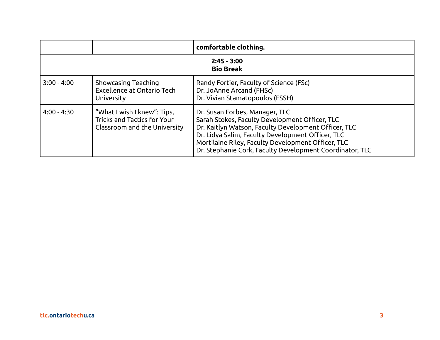|                                   |                                                                                                   | comfortable clothing.                                                                                                                                                                                                                                                                                           |  |  |
|-----------------------------------|---------------------------------------------------------------------------------------------------|-----------------------------------------------------------------------------------------------------------------------------------------------------------------------------------------------------------------------------------------------------------------------------------------------------------------|--|--|
| $2:45 - 3:00$<br><b>Bio Break</b> |                                                                                                   |                                                                                                                                                                                                                                                                                                                 |  |  |
| $3:00 - 4:00$                     | Showcasing Teaching<br>Excellence at Ontario Tech<br>University                                   | Randy Fortier, Faculty of Science (FSc)<br>Dr. JoAnne Arcand (FHSc)<br>Dr. Vivian Stamatopoulos (FSSH)                                                                                                                                                                                                          |  |  |
| $4:00 - 4:30$                     | "What I wish I knew": Tips,<br><b>Tricks and Tactics for Your</b><br>Classroom and the University | Dr. Susan Forbes, Manager, TLC<br>Sarah Stokes, Faculty Development Officer, TLC<br>Dr. Kaitlyn Watson, Faculty Development Officer, TLC<br>Dr. Lidya Salim, Faculty Development Officer, TLC<br>Mortilaine Riley, Faculty Development Officer, TLC<br>Dr. Stephanie Cork, Faculty Development Coordinator, TLC |  |  |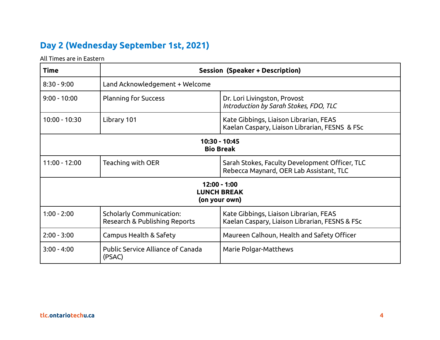### **Day 2 (Wednesday September 1st, 2021)**

All Times are in Eastern

| <b>Time</b>                                         | <b>Session (Speaker + Description)</b>                           |                                                                                           |  |  |  |
|-----------------------------------------------------|------------------------------------------------------------------|-------------------------------------------------------------------------------------------|--|--|--|
| $8:30 - 9:00$                                       | Land Acknowledgement + Welcome                                   |                                                                                           |  |  |  |
| $9:00 - 10:00$                                      | <b>Planning for Success</b>                                      | Dr. Lori Livingston, Provost<br>Introduction by Sarah Stokes, FDO, TLC                    |  |  |  |
| 10:00 - 10:30                                       | Library 101                                                      | Kate Gibbings, Liaison Librarian, FEAS<br>Kaelan Caspary, Liaison Librarian, FESNS & FSc  |  |  |  |
| 10:30 - 10:45<br><b>Bio Break</b>                   |                                                                  |                                                                                           |  |  |  |
| $11:00 - 12:00$                                     | Teaching with OER                                                | Sarah Stokes, Faculty Development Officer, TLC<br>Rebecca Maynard, OER Lab Assistant, TLC |  |  |  |
| 12:00 - 1:00<br><b>LUNCH BREAK</b><br>(on your own) |                                                                  |                                                                                           |  |  |  |
| $1:00 - 2:00$                                       | <b>Scholarly Communication:</b><br>Research & Publishing Reports | Kate Gibbings, Liaison Librarian, FEAS<br>Kaelan Caspary, Liaison Librarian, FESNS & FSc  |  |  |  |
| $2:00 - 3:00$                                       | <b>Campus Health &amp; Safety</b>                                | Maureen Calhoun, Health and Safety Officer                                                |  |  |  |
| $3:00 - 4:00$                                       | Public Service Alliance of Canada<br>(PSAC)                      | Marie Polgar-Matthews                                                                     |  |  |  |